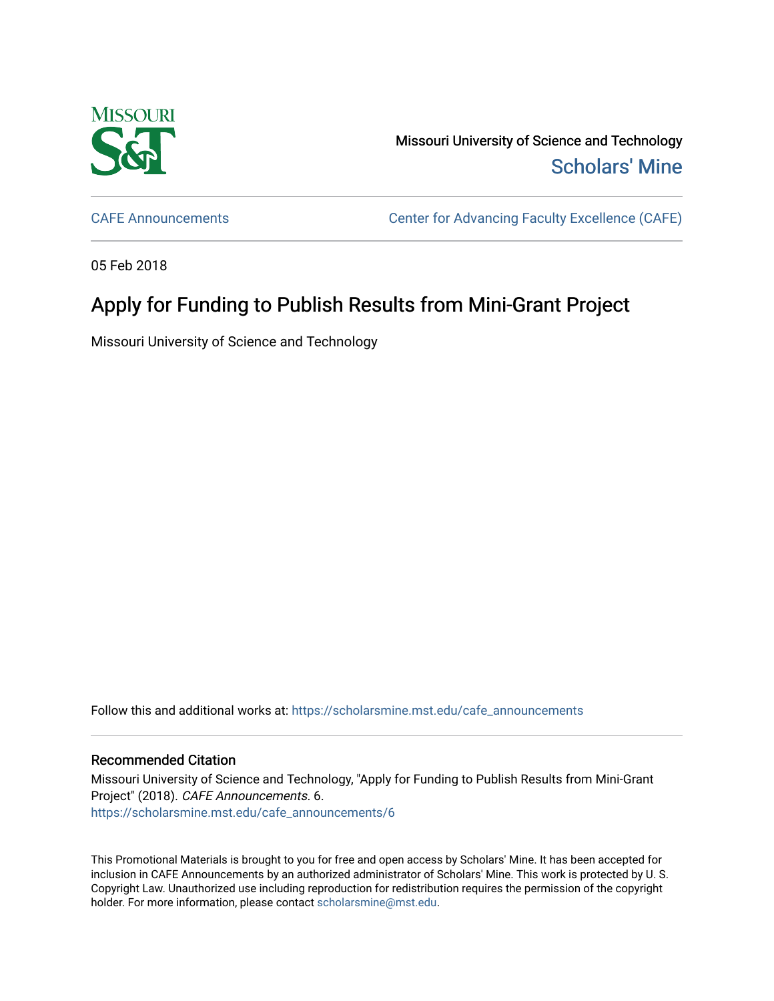

Missouri University of Science and Technology [Scholars' Mine](https://scholarsmine.mst.edu/) 

[CAFE Announcements](https://scholarsmine.mst.edu/cafe_announcements) [Center for Advancing Faculty Excellence \(CAFE\)](https://scholarsmine.mst.edu/cafe) 

05 Feb 2018

## Apply for Funding to Publish Results from Mini-Grant Project

Missouri University of Science and Technology

Follow this and additional works at: [https://scholarsmine.mst.edu/cafe\\_announcements](https://scholarsmine.mst.edu/cafe_announcements?utm_source=scholarsmine.mst.edu%2Fcafe_announcements%2F6&utm_medium=PDF&utm_campaign=PDFCoverPages) 

## Recommended Citation

Missouri University of Science and Technology, "Apply for Funding to Publish Results from Mini-Grant Project" (2018). CAFE Announcements. 6. [https://scholarsmine.mst.edu/cafe\\_announcements/6](https://scholarsmine.mst.edu/cafe_announcements/6?utm_source=scholarsmine.mst.edu%2Fcafe_announcements%2F6&utm_medium=PDF&utm_campaign=PDFCoverPages) 

This Promotional Materials is brought to you for free and open access by Scholars' Mine. It has been accepted for inclusion in CAFE Announcements by an authorized administrator of Scholars' Mine. This work is protected by U. S. Copyright Law. Unauthorized use including reproduction for redistribution requires the permission of the copyright holder. For more information, please contact [scholarsmine@mst.edu.](mailto:scholarsmine@mst.edu)